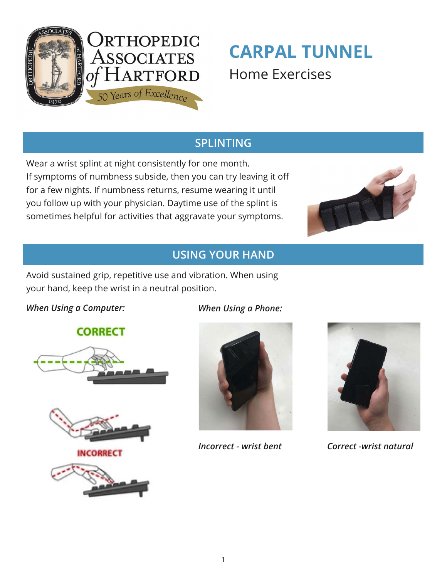

# **CARPAL TUNNEL** Home Exercises

# **SPLINTING**

Wear a wrist splint at night consistently for one month. If symptoms of numbness subside, then you can try leaving it off for a few nights. If numbness returns, resume wearing it until you follow up with your physician. Daytime use of the splint is sometimes helpful for activities that aggravate your symptoms.



### **USING YOUR HAND**

Avoid sustained grip, repetitive use and vibration. When using your hand, keep the wrist in a neutral position.

#### *When Using a Computer:*

**CORRECT** 





**NCORRECT** 



*When Using a Phone:* 





*Incorrect - wrist bent Correct -wrist natural*